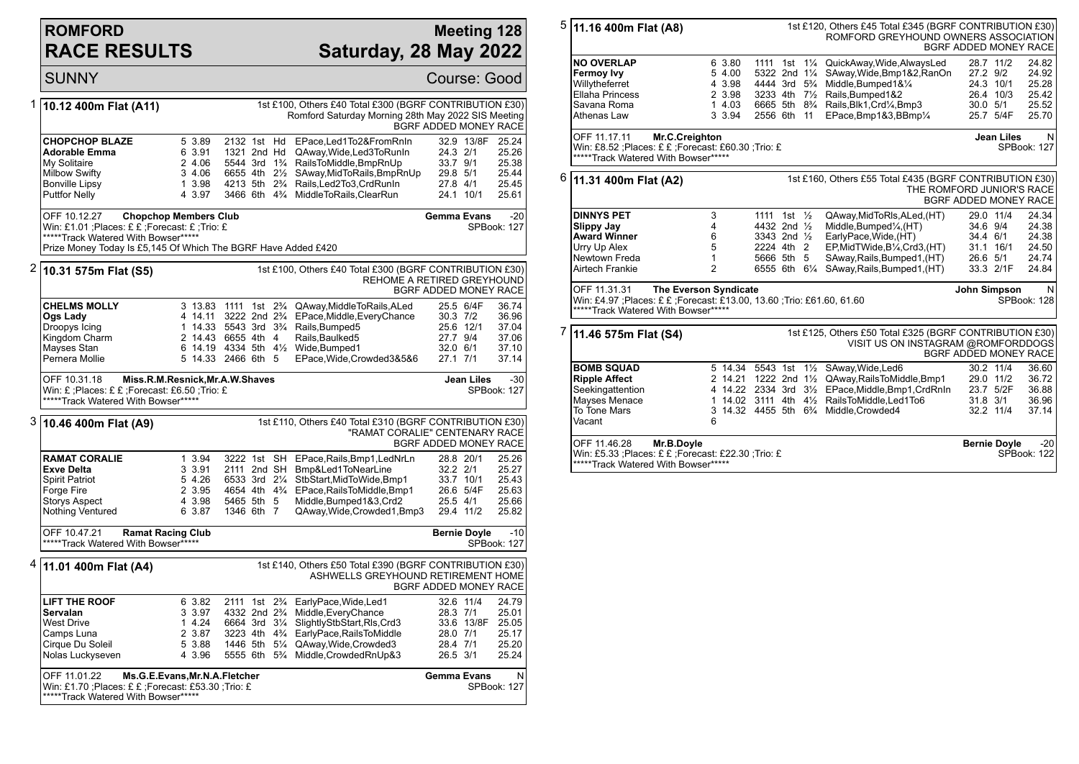## **ROMFORD RACE RESULTS**

\*\*\*\*\*Track Watered With Bowser\*\*\*\*\*

## **Meeting 128 Saturday, 28 May 2022**

|   | <b>SUNNY</b>                                                                                                                                                             |                                                          |                                                                                                                                              |                                                                                                                                                                                                                                    | Course: Good                                                                                                                   |
|---|--------------------------------------------------------------------------------------------------------------------------------------------------------------------------|----------------------------------------------------------|----------------------------------------------------------------------------------------------------------------------------------------------|------------------------------------------------------------------------------------------------------------------------------------------------------------------------------------------------------------------------------------|--------------------------------------------------------------------------------------------------------------------------------|
| 1 | 10.12 400m Flat (A11)                                                                                                                                                    |                                                          |                                                                                                                                              | 1st £100, Others £40 Total £300 (BGRF CONTRIBUTION £30)<br>Romford Saturday Morning 28th May 2022 SIS Meeting                                                                                                                      | BGRF ADDED MONEY RACE                                                                                                          |
|   | <b>CHOPCHOP BLAZE</b><br>Adorable Emma<br>My Solitaire<br><b>Milbow Swifty</b><br><b>Bonville Lipsy</b><br><b>Puttfor Nelly</b>                                          | 5 3.89<br>6 3.91<br>2 4.06<br>3 4.06<br>1 3.98<br>4 3.97 | 2132 1st Hd<br>1321 2nd Hd<br>5544 3rd 1 <sup>3</sup> / <sub>4</sub><br>6655 4th 21/2<br>4213 5th 2 <sup>3</sup> / <sub>4</sub>              | EPace.Led1To2&FromRnIn<br>QAway, Wide, Led 3 To Run In<br>RailsToMiddle, BmpRnUp<br>SAway, MidToRails, BmpRnUp<br>Rails, Led 2To 3, Crd Run In<br>3466 6th 4% MiddleToRails, ClearRun                                              | 32.9 13/8F<br>25.24<br>24.3 2/1<br>25.26<br>33.7 9/1<br>25.38<br>29.8 5/1<br>25.44<br>27.8 4/1<br>25.45<br>24.1 10/1<br>25.61  |
|   | OFF 10.12.27<br>Win: £1.01 ; Places: £ £ ; Forecast: £ ; Trio: £<br>*****Track Watered With Bowser*****<br>Prize Money Today Is £5,145 Of Which The BGRF Have Added £420 | <b>Chopchop Members Club</b>                             |                                                                                                                                              |                                                                                                                                                                                                                                    | $-20$<br><b>Gemma Evans</b><br>SPBook: 127                                                                                     |
| 2 | 10.31 575m Flat (S5)                                                                                                                                                     |                                                          |                                                                                                                                              | 1st £100, Others £40 Total £300 (BGRF CONTRIBUTION £30)                                                                                                                                                                            | REHOME A RETIRED GREYHOUND<br>BGRF ADDED MONEY RACE                                                                            |
|   | <b>CHELMS MOLLY</b><br>Ogs Lady<br>Droopys Icing<br>Kingdom Charm<br>Mayses Stan<br>Pernera Mollie                                                                       |                                                          | 3 13.83 1111 1st 2 <sup>3</sup> / <sub>4</sub><br>4 14.11 3222 2nd 2 <sup>3</sup> / <sub>4</sub><br>2 14.43 6655 4th 4<br>5 14.33 2466 6th 5 | QAway, Middle To Rails, ALed<br>EPace, Middle, Every Chance<br>1 14.33 5543 3rd 3 <sup>3</sup> / <sub>4</sub> Rails, Bumped 5<br>Rails, Baulked5<br>6 14.19 4334 5th 41/ <sub>2</sub> Wide, Bumped 1<br>EPace, Wide, Crowded 3&5&6 | 25.5 6/4F<br>36.74<br>30.3 7/2<br>36.96<br>25.6 12/1<br>37.04<br>27.7 9/4<br>37.06<br>32.0 6/1<br>37.10<br>27.1 7/1<br>37.14   |
|   | OFF 10.31.18<br>Win: £; Places: £ £; Forecast: £6.50; Trio: £<br>*****Track Watered With Bowser*****                                                                     |                                                          | Miss.R.M.Resnick, Mr.A.W.Shaves                                                                                                              |                                                                                                                                                                                                                                    | $-30$<br>Jean Liles<br>SPBook: 127                                                                                             |
| 3 | 10.46 400m Flat (A9)                                                                                                                                                     |                                                          |                                                                                                                                              | 1st £110, Others £40 Total £310 (BGRF CONTRIBUTION £30)                                                                                                                                                                            | "RAMAT CORALIE" CENTENARY RACE<br>BGRF ADDED MONEY RACE                                                                        |
|   | <b>RAMAT CORALIE</b><br><b>Exve Delta</b><br><b>Spirit Patriot</b><br>Forge Fire<br><b>Storys Aspect</b><br>Nothing Ventured                                             | 1 3.94<br>3 3.91<br>5 4.26<br>2 3.95<br>4 3.98<br>6 3.87 | 3222 1st SH<br>2111 2nd SH<br>6533 3rd 21/4<br>4654 4th 4 <sup>3</sup> / <sub>4</sub><br>5465 5th 5<br>1346 6th 7                            | EPace, Rails, Bmp1, LedNrLn<br>Bmp&Led1ToNearLine<br>StbStart, MidToWide, Bmp1<br>EPace, Rails To Middle, Bmp1<br>Middle, Bumped 1&3, Crd2<br>QAway, Wide, Crowded 1, Bmp3                                                         | 28.8 20/1<br>25.26<br>32.2 2/1<br>25.27<br>33.7 10/1<br>25.43<br>26.6 5/4F<br>25.63<br>25.5 4/1<br>25.66<br>29.4 11/2<br>25.82 |
|   | OFF 10.47.21<br><b>Ramat Racing Club</b><br>*****Track Watered With Bowser*****                                                                                          |                                                          |                                                                                                                                              |                                                                                                                                                                                                                                    | $-10$<br><b>Bernie Doyle</b><br>SPBook: 127                                                                                    |
|   | <sup>4</sup> 11.01 400m Flat (A4)                                                                                                                                        |                                                          |                                                                                                                                              | 1st £140, Others £50 Total £390 (BGRF CONTRIBUTION £30)                                                                                                                                                                            | ASHWELLS GREYHOUND RETIREMENT HOME<br>BGRF ADDED MONEY RACE                                                                    |
|   | <b>LIFT THE ROOF</b><br>Servalan<br><b>West Drive</b><br>Camps Luna                                                                                                      | 6 3.82<br>3 3.97<br>1 4.24<br>2 3.87                     | 2111 1st 2 <sup>3</sup> / <sub>4</sub><br>4332 2nd 2 <sup>3</sup> / <sub>4</sub><br>6664 3rd 31/4<br>3223 4th 4 <sup>3</sup> / <sub>4</sub>  | EarlyPace, Wide, Led1<br>Middle, Every Chance<br>SlightlyStbStart, Rls, Crd3<br>EarlyPace, RailsToMiddle                                                                                                                           | 32.6 11/4<br>24.79<br>28.3 7/1<br>25.01<br>33.6 13/8F<br>25.05<br>28.0 7/1<br>25.17                                            |
|   | Cirque Du Soleil<br>Nolas Luckyseven<br>OFF 11.01.22                                                                                                                     | 5 3.88<br>4 3.96<br>Ms.G.E.Evans, Mr.N.A.Fletcher        | 1446 5th<br>$5\frac{1}{4}$<br>$5\frac{3}{4}$<br>5555 6th                                                                                     | QAway, Wide, Crowded 3<br>Middle, Crowded RnUp&3                                                                                                                                                                                   | 28.4 7/1<br>25.20<br>26.5 3/1<br>25.24<br><b>Gemma Evans</b><br>N                                                              |

| 5                                                                                                                                                                  | 11.16 400m Flat (A8)<br>1st £120, Others £45 Total £345 (BGRF CONTRIBUTION £30)<br>ROMFORD GREYHOUND OWNERS ASSOCIATION<br><b>BGRF ADDED MONEY RACE</b>                                        |                                                         |                                                                                         |                                                                                                                                                                                                                                                                                 |                                                                                                                                |  |  |  |
|--------------------------------------------------------------------------------------------------------------------------------------------------------------------|------------------------------------------------------------------------------------------------------------------------------------------------------------------------------------------------|---------------------------------------------------------|-----------------------------------------------------------------------------------------|---------------------------------------------------------------------------------------------------------------------------------------------------------------------------------------------------------------------------------------------------------------------------------|--------------------------------------------------------------------------------------------------------------------------------|--|--|--|
|                                                                                                                                                                    | <b>NO OVERLAP</b><br>Fermoy Ivy<br>Willytheferret<br><b>Ellaha Princess</b><br>Savana Roma<br>Athenas Law                                                                                      | 6 3.80<br>5 4.00<br>4 3.98<br>2 3.98<br>14.03<br>3 3.94 | 5322 2nd 11/4<br>4444 3rd 5 <sup>3</sup> / <sub>4</sub><br>3233 4th 71/2<br>2556 6th 11 | 1111 1st 11/4 QuickAway, Wide, Always Led<br>SAway, Wide, Bmp1&2, RanOn<br>Middle, Bumped 1&1/4<br>Rails, Bumped 1&2<br>6665 5th 8 <sup>3</sup> / <sub>4</sub> Rails, Blk1, Crd <sup>1</sup> / <sub>4</sub> , Bmp3<br>EPace, Bmp1&3, BBmp1/4                                    | 28.7 11/2<br>24.82<br>24.92<br>27.2 9/2<br>24.3 10/1<br>25.28<br>26.4 10/3<br>25.42<br>25.52<br>30.0 5/1<br>25.7 5/4F<br>25.70 |  |  |  |
| <b>Jean Liles</b><br>OFF 11.17.11<br>Mr.C.Creighton<br>Win: £8.52 ; Places: £ £ ; Forecast: £60.30 ; Trio: £<br>SPBook: 127<br>*****Track Watered With Bowser***** |                                                                                                                                                                                                |                                                         |                                                                                         |                                                                                                                                                                                                                                                                                 |                                                                                                                                |  |  |  |
| 6                                                                                                                                                                  | 1st £160, Others £55 Total £435 (BGRF CONTRIBUTION £30)<br>11.31 400m Flat (A2)<br>THE ROMFORD JUNIOR'S RACE<br>BGRF ADDED MONEY RACE                                                          |                                                         |                                                                                         |                                                                                                                                                                                                                                                                                 |                                                                                                                                |  |  |  |
|                                                                                                                                                                    | <b>DINNYS PET</b><br><b>Slippy Jay</b><br><b>Award Winner</b><br>Urry Up Alex<br>Newtown Freda<br>Airtech Frankie                                                                              | 3<br>$\overline{4}$<br>6<br>5<br>1<br>$\overline{2}$    | 1111 1st $\frac{1}{2}$<br>4432 2nd 1/2<br>3343 2nd 1/2<br>2224 4th 2<br>5666 5th 5      | QAway, MidToRIs, ALed, (HT)<br>Middle, Bumped1/4, (HT)<br>EarlyPace, Wide, (HT)<br>EP, MidTWide, B1/4, Crd3, (HT)<br>SAway,Rails,Bumped1,(HT)<br>6555 6th 61/4 SAway, Rails, Bumped 1, (HT)                                                                                     | 24.34<br>29.0 11/4<br>24.38<br>34.6 9/4<br>34.4 6/1<br>24.38<br>24.50<br>31.1 16/1<br>26.6 5/1<br>24.74<br>33.3 2/1F<br>24.84  |  |  |  |
|                                                                                                                                                                    | OFF 11.31.31<br><b>The Everson Syndicate</b><br>John Simpson<br>Win: £4.97 ; Places: £ £ ; Forecast: £13.00, 13.60 ; Trio: £61.60, 61.60<br>SPBook: 128<br>*****Track Watered With Bowser***** |                                                         |                                                                                         |                                                                                                                                                                                                                                                                                 |                                                                                                                                |  |  |  |
| 7                                                                                                                                                                  | 11.46 575m Flat (S4)                                                                                                                                                                           |                                                         |                                                                                         | 1st £125, Others £50 Total £325 (BGRF CONTRIBUTION £30)<br>VISIT US ON INSTAGRAM @ROMFORDDOGS                                                                                                                                                                                   | BGRF ADDED MONEY RACE                                                                                                          |  |  |  |
|                                                                                                                                                                    | <b>BOMB SQUAD</b><br><b>Ripple Affect</b><br>Seekingattention<br>Mayses Menace<br>To Tone Mars<br>Vacant                                                                                       | 6                                                       |                                                                                         | 5 14.34 5543 1st 11/2 SAway, Wide, Led6<br>2 14.21 1222 2nd $1\frac{1}{2}$ QAway, Rails To Middle, Bmp1<br>4 14.22 2334 3rd 31/2 EPace, Middle, Bmp1, CrdRnIn<br>1 14.02 3111 4th 41/2 RailsToMiddle.Led1To6<br>3 14.32 4455 5th 6 <sup>3</sup> / <sub>4</sub> Middle, Crowded4 | 30.2 11/4<br>36.60<br>29.0 11/2<br>36.72<br>23.7 5/2F<br>36.88<br>31.8 3/1<br>36.96<br>32.2 11/4<br>37.14                      |  |  |  |
|                                                                                                                                                                    | OFF 11.46.28<br>Mr.B.Doyle<br>Win: £5.33 ; Places: £ £ ; Forecast: £22.30 ; Trio: £<br>*****Track Watered With Bowser*****                                                                     | <b>Bernie Doyle</b><br>$-20$<br>SPBook: 122             |                                                                                         |                                                                                                                                                                                                                                                                                 |                                                                                                                                |  |  |  |